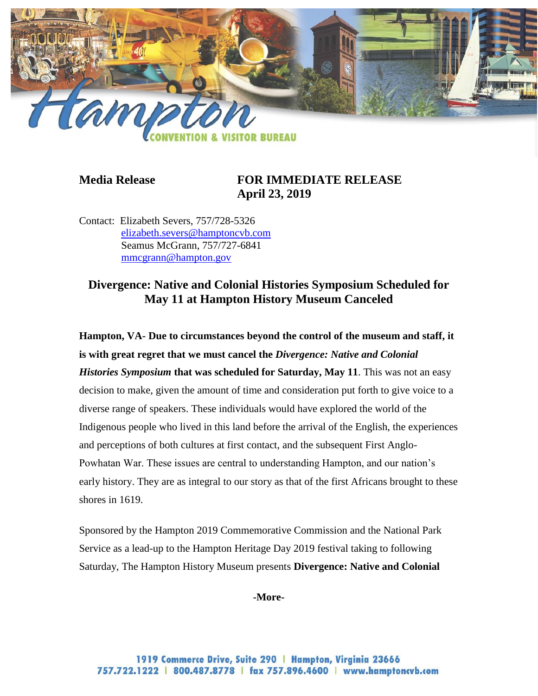

## **Media Release FOR IMMEDIATE RELEASE April 23, 2019**

Contact: Elizabeth Severs, 757/728-5326 [elizabeth.severs@hamptoncvb.com](mailto:elizabeth.severs@hamptoncvb.com) Seamus McGrann, 757/727-6841 [mmcgrann@hampton.gov](mailto:mmcgrann@hampton.gov)

# **Divergence: Native and Colonial Histories Symposium Scheduled for May 11 at Hampton History Museum Canceled**

**Hampton, VA- Due to circumstances beyond the control of the museum and staff, it is with great regret that we must cancel the** *Divergence: Native and Colonial Histories Symposium* **that was scheduled for Saturday, May 11**. This was not an easy decision to make, given the amount of time and consideration put forth to give voice to a diverse range of speakers. These individuals would have explored the world of the Indigenous people who lived in this land before the arrival of the English, the experiences and perceptions of both cultures at first contact, and the subsequent First Anglo-Powhatan War. These issues are central to understanding Hampton, and our nation's early history. They are as integral to our story as that of the first Africans brought to these shores in 1619.

Sponsored by the Hampton 2019 Commemorative Commission and the National Park Service as a lead-up to the Hampton Heritage Day 2019 festival taking to following Saturday, The Hampton History Museum presents **Divergence: Native and Colonial** 

**-More-**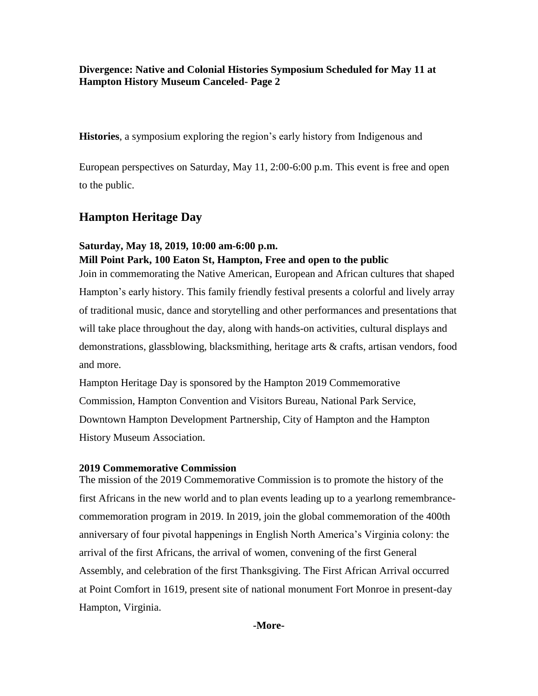**Divergence: Native and Colonial Histories Symposium Scheduled for May 11 at Hampton History Museum Canceled- Page 2**

**Histories**, a symposium exploring the region's early history from Indigenous and

European perspectives on Saturday, May 11, 2:00-6:00 p.m. This event is free and open to the public.

## **Hampton Heritage Day**

### **Saturday, May 18, 2019, 10:00 am-6:00 p.m.**

**Mill Point Park, 100 Eaton St, Hampton, Free and open to the public**

Join in commemorating the Native American, European and African cultures that shaped Hampton's early history. This family friendly festival presents a colorful and lively array of traditional music, dance and storytelling and other performances and presentations that will take place throughout the day, along with hands-on activities, cultural displays and demonstrations, glassblowing, blacksmithing, heritage arts & crafts, artisan vendors, food and more.

Hampton Heritage Day is sponsored by the Hampton 2019 Commemorative Commission, Hampton Convention and Visitors Bureau, National Park Service, Downtown Hampton Development Partnership, City of Hampton and the Hampton History Museum Association.

#### **2019 Commemorative Commission**

The mission of the 2019 Commemorative Commission is to promote the history of the first Africans in the new world and to plan events leading up to a yearlong remembrancecommemoration program in 2019. In 2019, join the global commemoration of the 400th anniversary of four pivotal happenings in English North America's Virginia colony: the arrival of the first Africans, the arrival of women, convening of the first General Assembly, and celebration of the first Thanksgiving. The First African Arrival occurred at Point Comfort in 1619, present site of national monument Fort Monroe in present-day Hampton, Virginia.

**-More-**